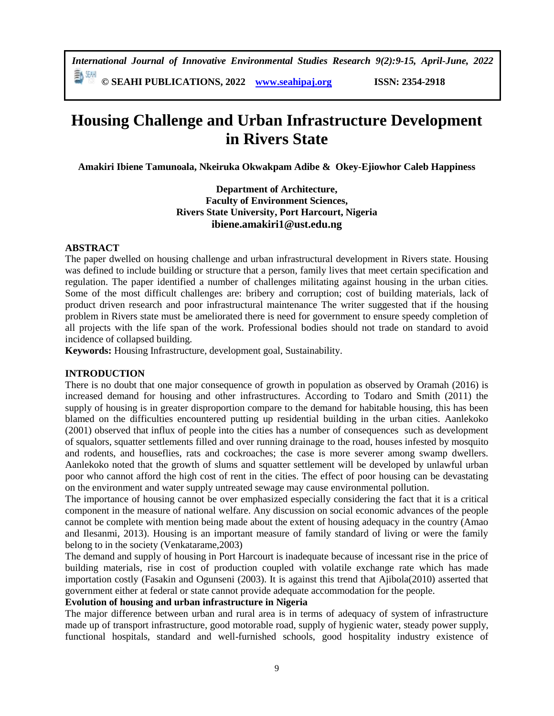*International Journal of Innovative Environmental Studies Research 9(2):9-15, April-June, 2022*

**© SEAHI PUBLICATIONS, 2022 [www.seahipaj.org](http://www.seahipaj.org/) ISSN: 2354-2918**

# **Housing Challenge and Urban Infrastructure Development in Rivers State**

**Amakiri Ibiene Tamunoala, Nkeiruka Okwakpam Adibe & Okey-Ejiowhor Caleb Happiness**

# **Department of Architecture, Faculty of Environment Sciences, Rivers State University, Port Harcourt, Nigeria ibiene.amakiri1@ust.edu.ng**

# **ABSTRACT**

The paper dwelled on housing challenge and urban infrastructural development in Rivers state. Housing was defined to include building or structure that a person, family lives that meet certain specification and regulation. The paper identified a number of challenges militating against housing in the urban cities. Some of the most difficult challenges are: bribery and corruption; cost of building materials, lack of product driven research and poor infrastructural maintenance The writer suggested that if the housing problem in Rivers state must be ameliorated there is need for government to ensure speedy completion of all projects with the life span of the work. Professional bodies should not trade on standard to avoid incidence of collapsed building.

**Keywords:** Housing Infrastructure, development goal, Sustainability.

# **INTRODUCTION**

There is no doubt that one major consequence of growth in population as observed by Oramah (2016) is increased demand for housing and other infrastructures. According to Todaro and Smith (2011) the supply of housing is in greater disproportion compare to the demand for habitable housing, this has been blamed on the difficulties encountered putting up residential building in the urban cities. Aanlekoko (2001) observed that influx of people into the cities has a number of consequences such as development of squalors, squatter settlements filled and over running drainage to the road, houses infested by mosquito and rodents, and houseflies, rats and cockroaches; the case is more severer among swamp dwellers. Aanlekoko noted that the growth of slums and squatter settlement will be developed by unlawful urban poor who cannot afford the high cost of rent in the cities. The effect of poor housing can be devastating on the environment and water supply untreated sewage may cause environmental pollution.

The importance of housing cannot be over emphasized especially considering the fact that it is a critical component in the measure of national welfare. Any discussion on social economic advances of the people cannot be complete with mention being made about the extent of housing adequacy in the country (Amao and Ilesanmi, 2013). Housing is an important measure of family standard of living or were the family belong to in the society (Venkatarame,2003)

The demand and supply of housing in Port Harcourt is inadequate because of incessant rise in the price of building materials, rise in cost of production coupled with volatile exchange rate which has made importation costly (Fasakin and Ogunseni (2003). It is against this trend that Ajibola(2010) asserted that government either at federal or state cannot provide adequate accommodation for the people.

# **Evolution of housing and urban infrastructure in Nigeria**

The major difference between urban and rural area is in terms of adequacy of system of infrastructure made up of transport infrastructure, good motorable road, supply of hygienic water, steady power supply, functional hospitals, standard and well-furnished schools, good hospitality industry existence of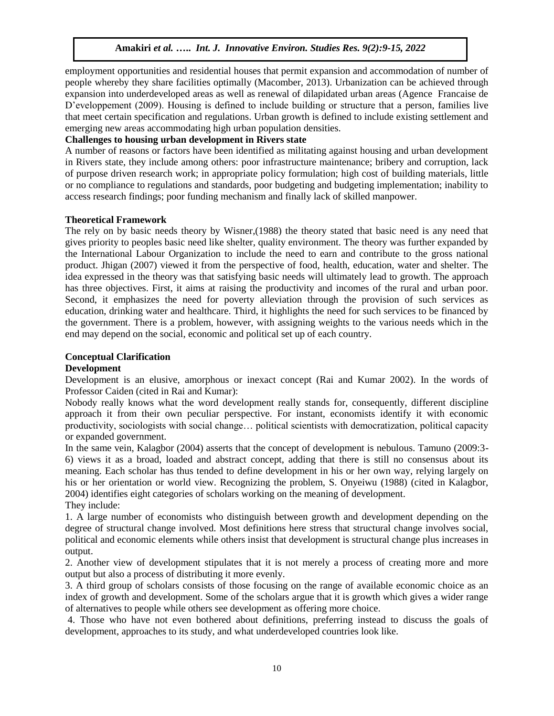employment opportunities and residential houses that permit expansion and accommodation of number of people whereby they share facilities optimally (Macomber, 2013). Urbanization can be achieved through expansion into underdeveloped areas as well as renewal of dilapidated urban areas (Agence Francaise de D'eveloppement (2009). Housing is defined to include building or structure that a person, families live that meet certain specification and regulations. Urban growth is defined to include existing settlement and emerging new areas accommodating high urban population densities.

# **Challenges to housing urban development in Rivers state**

A number of reasons or factors have been identified as militating against housing and urban development in Rivers state, they include among others: poor infrastructure maintenance; bribery and corruption, lack of purpose driven research work; in appropriate policy formulation; high cost of building materials, little or no compliance to regulations and standards, poor budgeting and budgeting implementation; inability to access research findings; poor funding mechanism and finally lack of skilled manpower.

# **Theoretical Framework**

The rely on by basic needs theory by Wisner,(1988) the theory stated that basic need is any need that gives priority to peoples basic need like shelter, quality environment. The theory was further expanded by the International Labour Organization to include the need to earn and contribute to the gross national product. Jhigan (2007) viewed it from the perspective of food, health, education, water and shelter. The idea expressed in the theory was that satisfying basic needs will ultimately lead to growth. The approach has three objectives. First, it aims at raising the productivity and incomes of the rural and urban poor. Second, it emphasizes the need for poverty alleviation through the provision of such services as education, drinking water and healthcare. Third, it highlights the need for such services to be financed by the government. There is a problem, however, with assigning weights to the various needs which in the end may depend on the social, economic and political set up of each country.

# **Conceptual Clarification**

# **Development**

Development is an elusive, amorphous or inexact concept (Rai and Kumar 2002). In the words of Professor Caiden (cited in Rai and Kumar):

Nobody really knows what the word development really stands for, consequently, different discipline approach it from their own peculiar perspective. For instant, economists identify it with economic productivity, sociologists with social change… political scientists with democratization, political capacity or expanded government.

In the same vein, Kalagbor (2004) asserts that the concept of development is nebulous. Tamuno (2009:3- 6) views it as a broad, loaded and abstract concept, adding that there is still no consensus about its meaning. Each scholar has thus tended to define development in his or her own way, relying largely on his or her orientation or world view. Recognizing the problem, S. Onyeiwu (1988) (cited in Kalagbor, 2004) identifies eight categories of scholars working on the meaning of development. They include:

1. A large number of economists who distinguish between growth and development depending on the degree of structural change involved. Most definitions here stress that structural change involves social, political and economic elements while others insist that development is structural change plus increases in output.

2. Another view of development stipulates that it is not merely a process of creating more and more output but also a process of distributing it more evenly.

3. A third group of scholars consists of those focusing on the range of available economic choice as an index of growth and development. Some of the scholars argue that it is growth which gives a wider range of alternatives to people while others see development as offering more choice.

4. Those who have not even bothered about definitions, preferring instead to discuss the goals of development, approaches to its study, and what underdeveloped countries look like.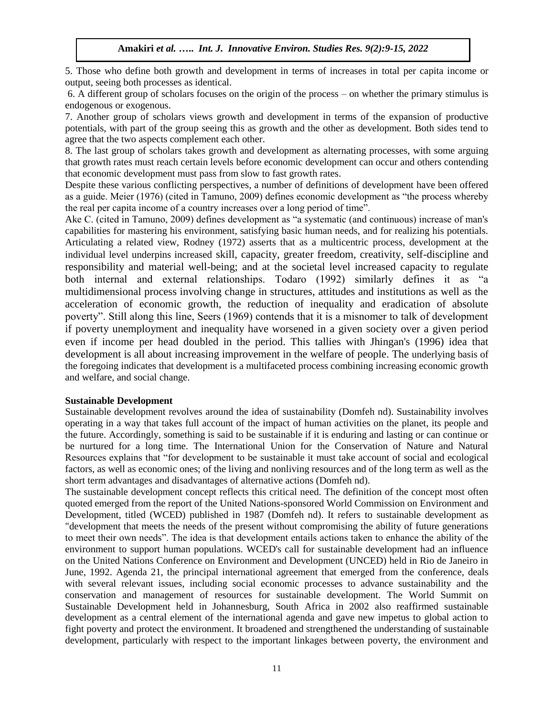5. Those who define both growth and development in terms of increases in total per capita income or output, seeing both processes as identical.

6. A different group of scholars focuses on the origin of the process – on whether the primary stimulus is endogenous or exogenous.

7. Another group of scholars views growth and development in terms of the expansion of productive potentials, with part of the group seeing this as growth and the other as development. Both sides tend to agree that the two aspects complement each other.

8. The last group of scholars takes growth and development as alternating processes, with some arguing that growth rates must reach certain levels before economic development can occur and others contending that economic development must pass from slow to fast growth rates.

Despite these various conflicting perspectives, a number of definitions of development have been offered as a guide. Meier (1976) (cited in Tamuno, 2009) defines economic development as "the process whereby the real per capita income of a country increases over a long period of time".

Ake C. (cited in Tamuno, 2009) defines development as "a systematic (and continuous) increase of man's capabilities for mastering his environment, satisfying basic human needs, and for realizing his potentials. Articulating a related view, Rodney (1972) asserts that as a multicentric process, development at the individual level underpins increased skill, capacity, greater freedom, creativity, self-discipline and responsibility and material well-being; and at the societal level increased capacity to regulate both internal and external relationships. Todaro (1992) similarly defines it as "a multidimensional process involving change in structures, attitudes and institutions as well as the acceleration of economic growth, the reduction of inequality and eradication of absolute poverty". Still along this line, Seers (1969) contends that it is a misnomer to talk of development if poverty unemployment and inequality have worsened in a given society over a given period even if income per head doubled in the period. This tallies with Jhingan's (1996) idea that development is all about increasing improvement in the welfare of people. The underlying basis of the foregoing indicates that development is a multifaceted process combining increasing economic growth and welfare, and social change.

### **Sustainable Development**

Sustainable development revolves around the idea of sustainability (Domfeh nd). Sustainability involves operating in a way that takes full account of the impact of human activities on the planet, its people and the future. Accordingly, something is said to be sustainable if it is enduring and lasting or can continue or be nurtured for a long time. The International Union for the Conservation of Nature and Natural Resources explains that "for development to be sustainable it must take account of social and ecological factors, as well as economic ones; of the living and nonliving resources and of the long term as well as the short term advantages and disadvantages of alternative actions (Domfeh nd).

The sustainable development concept reflects this critical need. The definition of the concept most often quoted emerged from the report of the United Nations-sponsored World Commission on Environment and Development, titled (WCED) published in 1987 (Domfeh nd). It refers to sustainable development as "development that meets the needs of the present without compromising the ability of future generations to meet their own needs". The idea is that development entails actions taken to enhance the ability of the environment to support human populations. WCED's call for sustainable development had an influence on the United Nations Conference on Environment and Development (UNCED) held in Rio de Janeiro in June, 1992. Agenda 21, the principal international agreement that emerged from the conference, deals with several relevant issues, including social economic processes to advance sustainability and the conservation and management of resources for sustainable development. The World Summit on Sustainable Development held in Johannesburg, South Africa in 2002 also reaffirmed sustainable development as a central element of the international agenda and gave new impetus to global action to fight poverty and protect the environment. It broadened and strengthened the understanding of sustainable development, particularly with respect to the important linkages between poverty, the environment and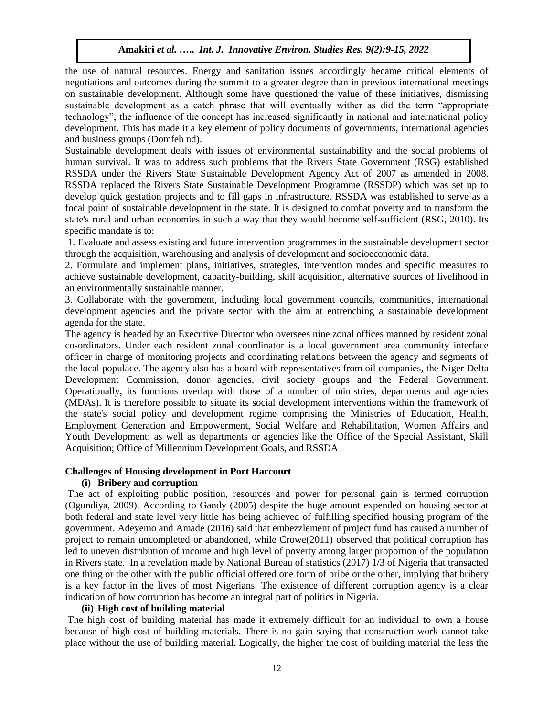the use of natural resources. Energy and sanitation issues accordingly became critical elements of negotiations and outcomes during the summit to a greater degree than in previous international meetings on sustainable development. Although some have questioned the value of these initiatives, dismissing sustainable development as a catch phrase that will eventually wither as did the term "appropriate technology", the influence of the concept has increased significantly in national and international policy development. This has made it a key element of policy documents of governments, international agencies and business groups (Domfeh nd).

Sustainable development deals with issues of environmental sustainability and the social problems of human survival. It was to address such problems that the Rivers State Government (RSG) established RSSDA under the Rivers State Sustainable Development Agency Act of 2007 as amended in 2008. RSSDA replaced the Rivers State Sustainable Development Programme (RSSDP) which was set up to develop quick gestation projects and to fill gaps in infrastructure. RSSDA was established to serve as a focal point of sustainable development in the state. It is designed to combat poverty and to transform the state's rural and urban economies in such a way that they would become self-sufficient (RSG, 2010). Its specific mandate is to:

1. Evaluate and assess existing and future intervention programmes in the sustainable development sector through the acquisition, warehousing and analysis of development and socioeconomic data.

2. Formulate and implement plans, initiatives, strategies, intervention modes and specific measures to achieve sustainable development, capacity-building, skill acquisition, alternative sources of livelihood in an environmentally sustainable manner.

3. Collaborate with the government, including local government councils, communities, international development agencies and the private sector with the aim at entrenching a sustainable development agenda for the state.

The agency is headed by an Executive Director who oversees nine zonal offices manned by resident zonal co-ordinators. Under each resident zonal coordinator is a local government area community interface officer in charge of monitoring projects and coordinating relations between the agency and segments of the local populace. The agency also has a board with representatives from oil companies, the Niger Delta Development Commission, donor agencies, civil society groups and the Federal Government. Operationally, its functions overlap with those of a number of ministries, departments and agencies (MDAs). It is therefore possible to situate its social development interventions within the framework of the state's social policy and development regime comprising the Ministries of Education, Health, Employment Generation and Empowerment, Social Welfare and Rehabilitation, Women Affairs and Youth Development; as well as departments or agencies like the Office of the Special Assistant, Skill Acquisition; Office of Millennium Development Goals, and RSSDA

# **Challenges of Housing development in Port Harcourt**

# **(i) Bribery and corruption**

The act of exploiting public position, resources and power for personal gain is termed corruption (Ogundiya, 2009). According to Gandy (2005) despite the huge amount expended on housing sector at both federal and state level very little has being achieved of fulfilling specified housing program of the government. Adeyemo and Amade (2016) said that embezzlement of project fund has caused a number of project to remain uncompleted or abandoned, while Crowe(2011) observed that political corruption has led to uneven distribution of income and high level of poverty among larger proportion of the population in Rivers state. In a revelation made by National Bureau of statistics (2017) 1/3 of Nigeria that transacted one thing or the other with the public official offered one form of bribe or the other, implying that bribery is a key factor in the lives of most Nigerians. The existence of different corruption agency is a clear indication of how corruption has become an integral part of politics in Nigeria.

# **(ii) High cost of building material**

The high cost of building material has made it extremely difficult for an individual to own a house because of high cost of building materials. There is no gain saying that construction work cannot take place without the use of building material. Logically, the higher the cost of building material the less the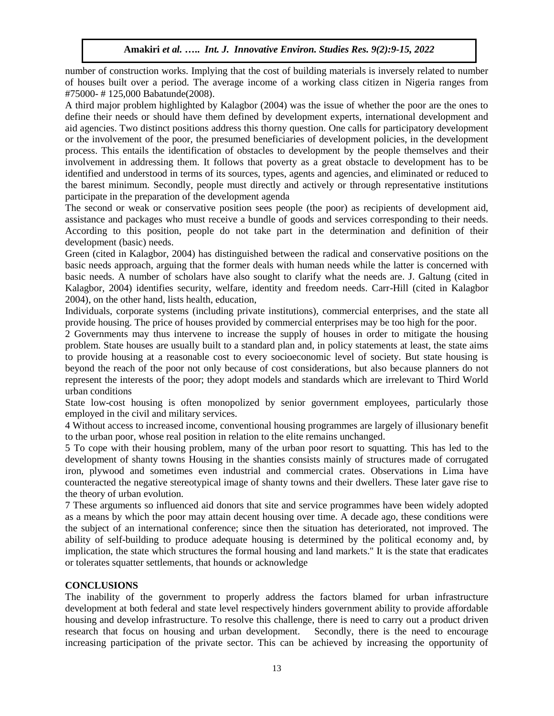number of construction works. Implying that the cost of building materials is inversely related to number of houses built over a period. The average income of a working class citizen in Nigeria ranges from #75000- # 125,000 Babatunde(2008).

A third major problem highlighted by Kalagbor (2004) was the issue of whether the poor are the ones to define their needs or should have them defined by development experts, international development and aid agencies. Two distinct positions address this thorny question. One calls for participatory development or the involvement of the poor, the presumed beneficiaries of development policies, in the development process. This entails the identification of obstacles to development by the people themselves and their involvement in addressing them. It follows that poverty as a great obstacle to development has to be identified and understood in terms of its sources, types, agents and agencies, and eliminated or reduced to the barest minimum. Secondly, people must directly and actively or through representative institutions participate in the preparation of the development agenda

The second or weak or conservative position sees people (the poor) as recipients of development aid, assistance and packages who must receive a bundle of goods and services corresponding to their needs. According to this position, people do not take part in the determination and definition of their development (basic) needs.

Green (cited in Kalagbor, 2004) has distinguished between the radical and conservative positions on the basic needs approach, arguing that the former deals with human needs while the latter is concerned with basic needs. A number of scholars have also sought to clarify what the needs are. J. Galtung (cited in Kalagbor, 2004) identifies security, welfare, identity and freedom needs. Carr-Hill (cited in Kalagbor 2004), on the other hand, lists health, education,

Individuals, corporate systems (including private institutions), commercial enterprises, and the state all provide housing. The price of houses provided by commercial enterprises may be too high for the poor.

2 Governments may thus intervene to increase the supply of houses in order to mitigate the housing problem. State houses are usually built to a standard plan and, in policy statements at least, the state aims to provide housing at a reasonable cost to every socioeconomic level of society. But state housing is beyond the reach of the poor not only because of cost considerations, but also because planners do not represent the interests of the poor; they adopt models and standards which are irrelevant to Third World urban conditions

State low-cost housing is often monopolized by senior government employees, particularly those employed in the civil and military services.

4 Without access to increased income, conventional housing programmes are largely of illusionary benefit to the urban poor, whose real position in relation to the elite remains unchanged.

5 To cope with their housing problem, many of the urban poor resort to squatting. This has led to the development of shanty towns Housing in the shanties consists mainly of structures made of corrugated iron, plywood and sometimes even industrial and commercial crates. Observations in Lima have counteracted the negative stereotypical image of shanty towns and their dwellers. These later gave rise to the theory of urban evolution.

7 These arguments so influenced aid donors that site and service programmes have been widely adopted as a means by which the poor may attain decent housing over time. A decade ago, these conditions were the subject of an international conference; since then the situation has deteriorated, not improved. The ability of self-building to produce adequate housing is determined by the political economy and, by implication, the state which structures the formal housing and land markets." It is the state that eradicates or tolerates squatter settlements, that hounds or acknowledge

# **CONCLUSIONS**

The inability of the government to properly address the factors blamed for urban infrastructure development at both federal and state level respectively hinders government ability to provide affordable housing and develop infrastructure. To resolve this challenge, there is need to carry out a product driven research that focus on housing and urban development. Secondly, there is the need to encourage increasing participation of the private sector. This can be achieved by increasing the opportunity of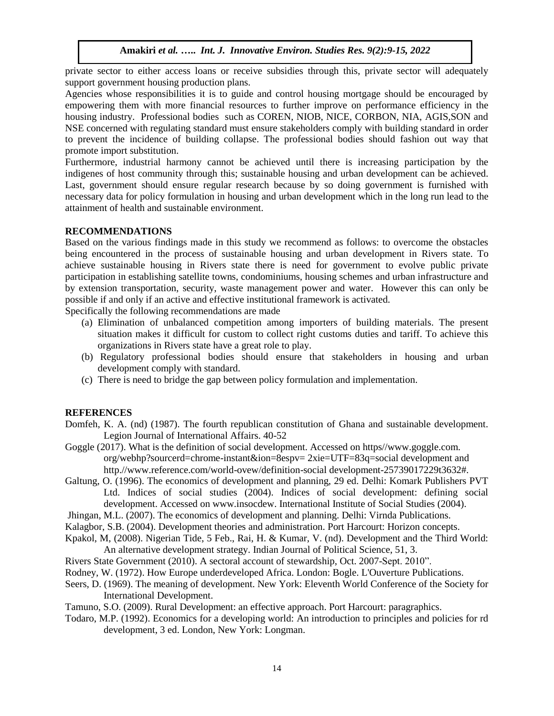private sector to either access loans or receive subsidies through this, private sector will adequately support government housing production plans.

Agencies whose responsibilities it is to guide and control housing mortgage should be encouraged by empowering them with more financial resources to further improve on performance efficiency in the housing industry. Professional bodies such as COREN, NIOB, NICE, CORBON, NIA, AGIS,SON and NSE concerned with regulating standard must ensure stakeholders comply with building standard in order to prevent the incidence of building collapse. The professional bodies should fashion out way that promote import substitution.

Furthermore, industrial harmony cannot be achieved until there is increasing participation by the indigenes of host community through this; sustainable housing and urban development can be achieved. Last, government should ensure regular research because by so doing government is furnished with necessary data for policy formulation in housing and urban development which in the long run lead to the attainment of health and sustainable environment.

# **RECOMMENDATIONS**

Based on the various findings made in this study we recommend as follows: to overcome the obstacles being encountered in the process of sustainable housing and urban development in Rivers state. To achieve sustainable housing in Rivers state there is need for government to evolve public private participation in establishing satellite towns, condominiums, housing schemes and urban infrastructure and by extension transportation, security, waste management power and water. However this can only be possible if and only if an active and effective institutional framework is activated.

Specifically the following recommendations are made

- (a) Elimination of unbalanced competition among importers of building materials. The present situation makes it difficult for custom to collect right customs duties and tariff. To achieve this organizations in Rivers state have a great role to play.
- (b) Regulatory professional bodies should ensure that stakeholders in housing and urban development comply with standard.
- (c) There is need to bridge the gap between policy formulation and implementation.

# **REFERENCES**

- Domfeh, K. A. (nd) (1987). The fourth republican constitution of Ghana and sustainable development. Legion Journal of International Affairs. 40-52
- Goggle (2017). What is the definition of social development. Accessed on https//www.goggle.com. org/webhp?sourcerd=chrome-instant&ion=8espv= 2xie=UTF=83q=social development and http.//www.reference.com/world-ovew/definition-social development-25739017229t3632#.
- Galtung, O. (1996). The economics of development and planning, 29 ed. Delhi: Komark Publishers PVT Ltd. Indices of social studies (2004). Indices of social development: defining social development. Accessed on www.insocdew. International Institute of Social Studies (2004).
- Jhingan, M.L. (2007). The economics of development and planning. Delhi: Virnda Publications.
- Kalagbor, S.B. (2004). Development theories and administration. Port Harcourt: Horizon concepts.
- Kpakol, M, (2008). Nigerian Tide, 5 Feb., Rai, H. & Kumar, V. (nd). Development and the Third World: An alternative development strategy. Indian Journal of Political Science, 51, 3.
- Rivers State Government (2010). A sectoral account of stewardship, Oct. 2007-Sept. 2010".
- Rodney, W. (1972). How Europe underdeveloped Africa. London: Bogle. L'Ouverture Publications.
- Seers, D. (1969). The meaning of development. New York: Eleventh World Conference of the Society for International Development.

Tamuno, S.O. (2009). Rural Development: an effective approach. Port Harcourt: paragraphics.

Todaro, M.P. (1992). Economics for a developing world: An introduction to principles and policies for rd development, 3 ed. London, New York: Longman.